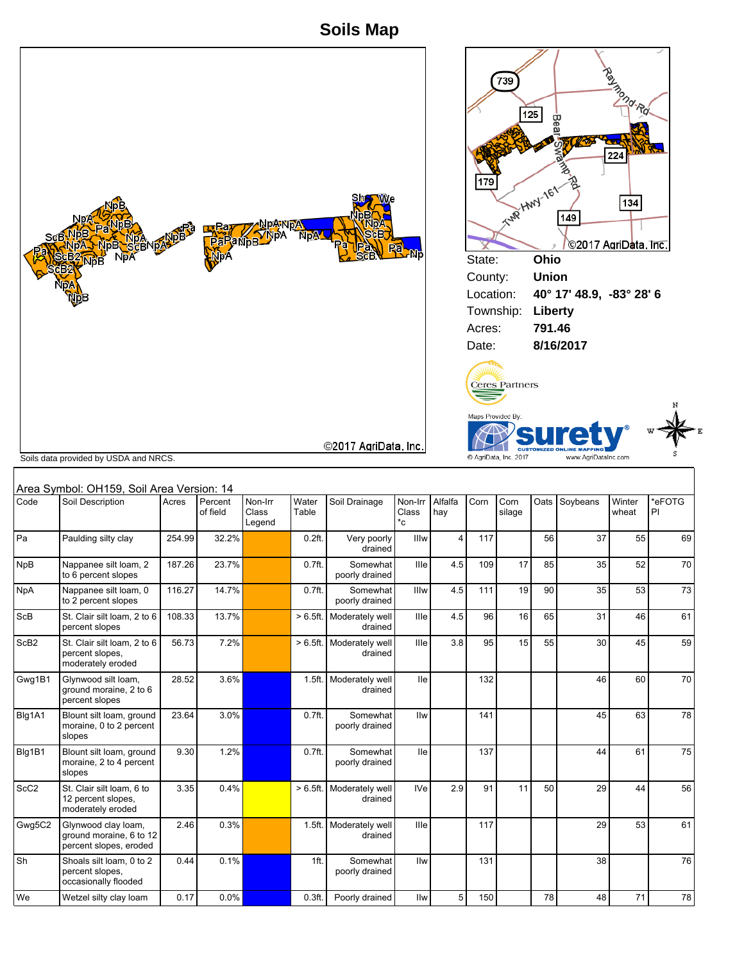**Soils Map**





E

|                  | Soils data provided by USDA and NRCS.                                    |        |                     |                            |                   |                            |                        |                         |      | C AgriData, Inc. 2017 |    | www.AgriDataInc.com |                 | s            |
|------------------|--------------------------------------------------------------------------|--------|---------------------|----------------------------|-------------------|----------------------------|------------------------|-------------------------|------|-----------------------|----|---------------------|-----------------|--------------|
|                  | Area Symbol: OH159, Soil Area Version: 14                                |        |                     |                            |                   |                            |                        |                         |      |                       |    |                     |                 |              |
| Code             | Soil Description                                                         | Acres  | Percent<br>of field | Non-Irr<br>Class<br>Legend | Water<br>Table    | Soil Drainage              | Non-Irr<br>Class<br>*c | Alfalfa<br>hay          | Corn | Corn<br>silage        |    | Oats Soybeans       | Winter<br>wheat | *eFOTG<br>PI |
| Pa               | Paulding silty clay                                                      | 254.99 | 32.2%               |                            | 0.2 <sub>ft</sub> | Very poorly<br>drained     | Illw                   | $\overline{\mathbf{4}}$ | 117  |                       | 56 | 37                  | 55              | 69           |
| <b>NpB</b>       | Nappanee silt loam, 2<br>to 6 percent slopes                             | 187.26 | 23.7%               |                            | 0.7 <sub>ft</sub> | Somewhat<br>poorly drained | Ille                   | 4.5                     | 109  | 17                    | 85 | 35                  | 52              | 70           |
| NpA              | Nappanee silt loam, 0<br>to 2 percent slopes                             | 116.27 | 14.7%               |                            | 0.7 <sub>ft</sub> | Somewhat<br>poorly drained | Illw                   | 4.5                     | 111  | 19                    | 90 | 35                  | 53              | 73           |
| ScB              | St. Clair silt loam, 2 to 6<br>percent slopes                            | 108.33 | 13.7%               |                            | $>6.5$ ft.        | Moderately well<br>drained | Ille                   | 4.5                     | 96   | 16                    | 65 | 31                  | 46              | 61           |
| ScB <sub>2</sub> | St. Clair silt loam, 2 to 6<br>percent slopes.<br>moderately eroded      | 56.73  | 7.2%                |                            | $>6.5$ ft.        | Moderately well<br>drained | <b>Ille</b>            | 3.8                     | 95   | 15                    | 55 | 30                  | 45              | 59           |
| Gwg1B1           | Glynwood silt loam,<br>ground moraine, 2 to 6<br>percent slopes          | 28.52  | 3.6%                |                            | 1.5 <sub>ft</sub> | Moderately well<br>drained | <b>lle</b>             |                         | 132  |                       |    | 46                  | 60              | 70           |
| Blg1A1           | Blount silt loam, ground<br>moraine, 0 to 2 percent<br>slopes            | 23.64  | 3.0%                |                            | 0.7 <sub>ft</sub> | Somewhat<br>poorly drained | Ilw                    |                         | 141  |                       |    | 45                  | 63              | 78           |
| Blg1B1           | Blount silt loam, ground<br>moraine, 2 to 4 percent<br>slopes            | 9.30   | 1.2%                |                            | 0.7 <sub>ft</sub> | Somewhat<br>poorly drained | <b>Ile</b>             |                         | 137  |                       |    | 44                  | 61              | 75           |
| ScC <sub>2</sub> | St. Clair silt loam, 6 to<br>12 percent slopes.<br>moderately eroded     | 3.35   | 0.4%                |                            | $>6.5ft$ .        | Moderately well<br>drained | <b>IVe</b>             | 2.9                     | 91   | 11                    | 50 | 29                  | 44              | 56           |
| Gwg5C2           | Glynwood clay loam,<br>ground moraine, 6 to 12<br>percent slopes, eroded | 2.46   | 0.3%                |                            | 1.5 <sub>ft</sub> | Moderately well<br>drained | Ille                   |                         | 117  |                       |    | 29                  | 53              | 61           |
| Sh               | Shoals silt loam, 0 to 2<br>percent slopes,<br>occasionally flooded      | 0.44   | 0.1%                |                            | 1ft.              | Somewhat<br>poorly drained | Ilw                    |                         | 131  |                       |    | 38                  |                 | 76           |
| We               | Wetzel silty clay loam                                                   | 0.17   | 0.0%                |                            | 0.3 <sub>ft</sub> | Poorly drained             | Ilw                    | 5                       | 150  |                       | 78 | 48                  | 71              | 78           |